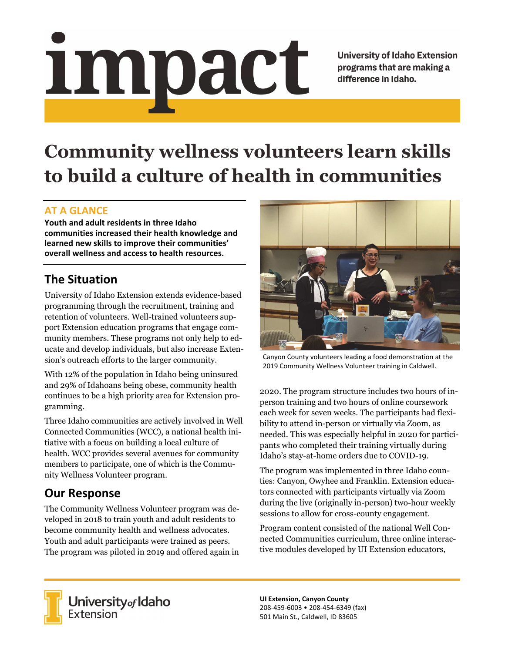# impact

**University of Idaho Extension** programs that are making a difference in Idaho.

# **Community wellness volunteers learn skills to build a culture of health in communities**

### **AT A GLANCE**

**Youth and adult residents in three Idaho communities increased their health knowledge and learned new skills to improve their communities' overall wellness and access to health resources.**

## **The Situation**

University of Idaho Extension extends evidence-based programming through the recruitment, training and retention of volunteers. Well-trained volunteers support Extension education programs that engage community members. These programs not only help to educate and develop individuals, but also increase Extension's outreach efforts to the larger community.

With 12% of the population in Idaho being uninsured and 29% of Idahoans being obese, community health continues to be a high priority area for Extension programming.

Three Idaho communities are actively involved in Well Connected Communities (WCC), a national health initiative with a focus on building a local culture of health. WCC provides several avenues for community members to participate, one of which is the Community Wellness Volunteer program.

# **Our Response**

The Community Wellness Volunteer program was developed in 2018 to train youth and adult residents to become community health and wellness advocates. Youth and adult participants were trained as peers. The program was piloted in 2019 and offered again in



Canyon County volunteers leading a food demonstration at the 2019 Community Wellness Volunteer training in Caldwell.

2020. The program structure includes two hours of inperson training and two hours of online coursework each week for seven weeks. The participants had flexibility to attend in-person or virtually via Zoom, as needed. This was especially helpful in 2020 for participants who completed their training virtually during Idaho's stay-at-home orders due to COVID-19.

The program was implemented in three Idaho counties: Canyon, Owyhee and Franklin. Extension educators connected with participants virtually via Zoom during the live (originally in-person) two-hour weekly sessions to allow for cross-county engagement.

Program content consisted of the national Well Connected Communities curriculum, three online interactive modules developed by UI Extension educators,



**University** of Idaho<br>Extension

**UI Extension, Canyon County** 208‐459‐6003 • 208‐454‐6349 (fax) 501 Main St., Caldwell, ID 83605